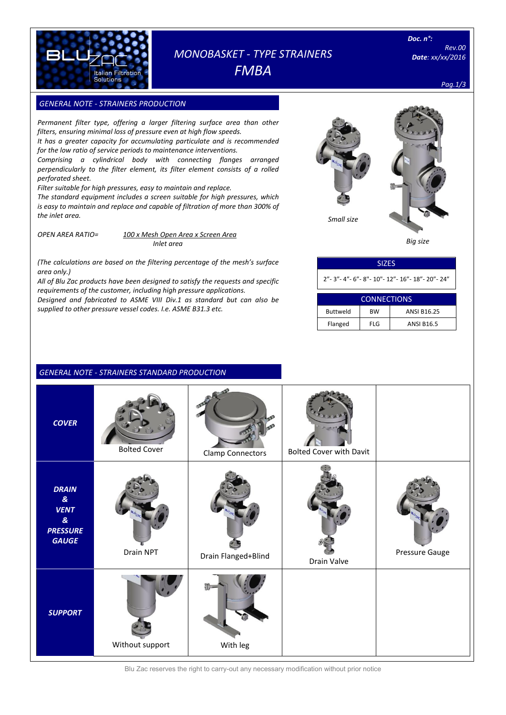

# *MONOBASKET - TYPE STRAINERS FMBA*

*Rev.00 Date: xx/xx/2016*

*Pag.1/3*

# **GENERAL NOTE - STRAINERS PRODUCTION**

*Permanent filter type, offering a larger filtering surface area than other filters, ensuring minimal loss of pressure even at high flow speeds. It has a greater capacity for accumulating particulate and is recommended* 

*for the low ratio of service periods to maintenance interventions.*

*Comprising a cylindrical body with connecting flanges arranged perpendicularly to the filter element, its filter element consists of a rolled perforated sheet.*

*Filter suitable for high pressures, easy to maintain and replace.*

*The standard equipment includes a screen suitable for high pressures, which is easy to maintain and replace and capable of filtration of more than 300% of the inlet area.*

*OPEN AREA RATIO= 100 x Mesh Open Area x Screen Area Inlet area*

*(The calculations are based on the filtering percentage of the mesh's surface area only.)*

*All of Blu Zac products have been designed to satisfy the requests and specific requirements of the customer, including high pressure applications. Designed and fabricated to ASME VIII Div.1 as standard but can also be supplied to other pressure vessel codes. I.e. ASME B31.3 etc.*



 *Big size*

| <b>SIZES</b>                                              |  |
|-----------------------------------------------------------|--|
| " - 3" - 4" - 6" - 8" - 10" - 12" - 16" - 18" - 20" - 24" |  |

| CONNECTIONS     |            |                    |  |  |  |  |
|-----------------|------------|--------------------|--|--|--|--|
| <b>Buttweld</b> | <b>BW</b>  | <b>ANSI B16.25</b> |  |  |  |  |
| Flanged         | <b>FLG</b> | <b>ANSI B16.5</b>  |  |  |  |  |

## *GENERAL NOTE - STRAINERS STANDARD PRODUCTION*

| <b>COVER</b>                                                                                                | <b>Bolted Cover</b> | <b>Clamp Connectors</b> | <b>Bolted Cover with Davit</b> |                |
|-------------------------------------------------------------------------------------------------------------|---------------------|-------------------------|--------------------------------|----------------|
| <b>DRAIN</b><br>$\pmb{g}_t$<br><b>VENT</b><br>$\boldsymbol{\mathcal{S}}$<br><b>PRESSURE</b><br><b>GAUGE</b> | Drain NPT           | Drain Flanged+Blind     | Drain Valve                    | Pressure Gauge |
| <b>SUPPORT</b>                                                                                              | Without support     | With leg                |                                |                |

Blu Zac reserves the right to carry-out any necessary modification without prior notice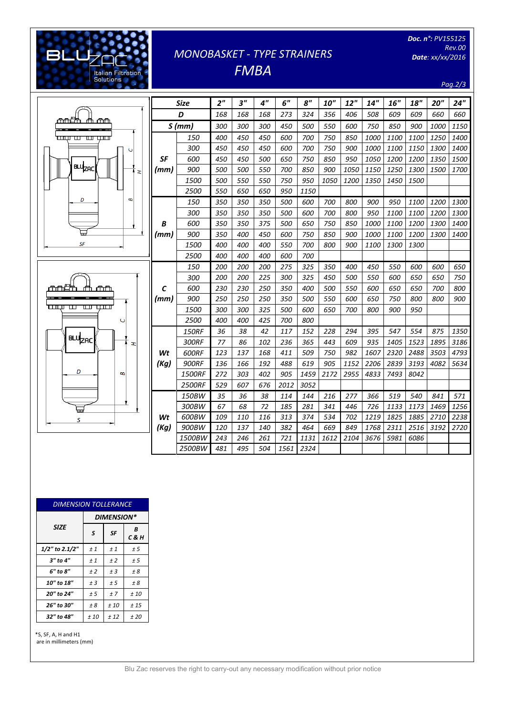# [Digitare il testo] **BLU** Italian Filtration<br>Solutions

# *MONOBASKET - TYPE STRAINERS FMBA*

*Doc. n°: PV155125 Rev.00 Date: xx/xx/2016*

*Pag.2/3*

|                               |           | <b>Size</b>   | 2 <sup>''</sup> | $3^{\prime\prime}$ | 4"  | 6"   | 8 <sup>''</sup> | <b>10"</b>  | 12"         | 14"         | 16"  | 18"  | 20'' | 24"  |
|-------------------------------|-----------|---------------|-----------------|--------------------|-----|------|-----------------|-------------|-------------|-------------|------|------|------|------|
| <del>mnun</del><br>m wu       |           | D             | 168             | 168                | 168 | 273  | 324             | 356         | 406         | 508         | 609  | 609  | 660  | 660  |
|                               | S(mm)     |               | <i>300</i>      | 300                | 300 | 450  | <i>500</i>      | 550         | 600         | 750         | 850  | 900  | 1000 | 1150 |
| سىر سا بى بىس                 |           | 150           | 400             | 450                | 450 | 600  | 700             | 750         | 850         | 1000        | 1100 | 1100 | 1250 | 1400 |
|                               |           | 300           | 450             | 450                | 450 | 600  | 700             | 750         | 900         | 1000        | 1100 | 1150 | 1300 | 1400 |
|                               | SF        | 600           | 450             | 450                | 500 | 650  | 750             | 850         | 950         | 1050        | 1200 | 1200 | 1350 | 1500 |
| BLU <sub>ZAC</sub><br>œ       | (mm)      | 900           | 500             | 500                | 550 | 700  | 850             | 900         | 1050        | 1150        | 1250 | 1300 | 1500 | 1700 |
|                               |           | 1500          | 500             | 550                | 550 | 750  | 950             | <i>1050</i> | <i>1200</i> | 1350        | 1450 | 1500 |      |      |
|                               |           | 2500          | 550             | 650                | 650 | 950  | 1150            |             |             |             |      |      |      |      |
| D<br>B                        |           | 150           | 350             | 350                | 350 | 500  | 600             | 700         | 800         | 900         | 950  | 1100 | 1200 | 1300 |
|                               |           | 300           | 350             | 350                | 350 | 500  | 600             | 700         | 800         | 950         | 1100 | 1100 | 1200 | 1300 |
|                               | B         | 600           | 350             | 350                | 375 | 500  | 650             | 750         | 850         | 1000        | 1100 | 1200 | 1300 | 1400 |
|                               | (mm)      | 900           | 350             | 400                | 450 | 600  | 750             | 850         | 900         | <i>1000</i> | 1100 | 1200 | 1300 | 1400 |
| SF                            |           | 1500          | 400             | 400                | 400 | 550  | 700             | 800         | 900         | <i>1100</i> | 1300 | 1300 |      |      |
|                               |           | 2500          | 400             | 400                | 400 | 600  | 700             |             |             |             |      |      |      |      |
|                               | C<br>(mm) | 150           | 200             | 200                | 200 | 275  | 325             | 350         | 400         | 450         | 550  | 600  | 600  | 650  |
|                               |           | 300           | 200             | 200                | 225 | 300  | 325             | 450         | 500         | 550         | 600  | 650  | 650  | 750  |
| щU<br>mnan<br>╓╤╜             |           | 600           | 230             | 230                | 250 | 350  | 400             | 500         | 550         | 600         | 650  | 650  | 700  | 800  |
|                               |           | 900           | 250             | 250                | 250 | 350  | 500             | 550         | 600         | 650         | 750  | 800  | 800  | 900  |
|                               |           | 1500          | <i>300</i>      | 300                | 325 | 500  | 600             | 650         | 700         | 800         | 900  | 950  |      |      |
| Ō                             |           | 2500          | 400             | 400                | 425 | 700  | 800             |             |             |             |      |      |      |      |
|                               |           | <b>150RF</b>  | 36              | 38                 | 42  | 117  | 152             | 228         | 294         | 395         | 547  | 554  | 875  | 1350 |
| <b>BLU<sub>ZAC</sub></b><br>æ |           | 300RF         | 77              | 86                 | 102 | 236  | 365             | 443         | 609         | 935         | 1405 | 1523 | 1895 | 3186 |
|                               | Wt        | 600RF         | 123             | 137                | 168 | 411  | 509             | 750         | 982         | 1607        | 2320 | 2488 | 3503 | 4793 |
|                               | (Kg)      | <b>900RF</b>  | 136             | 166                | 192 | 488  | 619             | 905         | 1152        | 2206        | 2839 | 3193 | 4082 | 5634 |
| D<br>B                        |           | 1500RF        | 272             | 303                | 402 | 905  | 1459            | 2172        | 2955        | 4833        | 7493 | 8042 |      |      |
|                               |           | <b>2500RF</b> | 529             | 607                | 676 | 2012 | 3052            |             |             |             |      |      |      |      |
|                               |           | 150BW         | 35              | 36                 | 38  | 114  | 144             | 216         | 277         | 366         | 519  | 540  | 841  | 571  |
|                               | Wt        | 300BW         | 67              | 68                 | 72  | 185  | 281             | 341         | 446         | 726         | 1133 | 1173 | 1469 | 1256 |
| S                             |           | 600BW         | 109             | 110                | 116 | 313  | 374             | 534         | 702         | 1219        | 1825 | 1885 | 2710 | 2238 |
|                               | (Kg)      | 900BW         | 120             | 137                | 140 | 382  | 464             | 669         | 849         | 1768        | 2311 | 2516 | 3192 | 2720 |
|                               |           | 1500BW        | 243             | 246                | 261 | 721  | 1131            | 1612        | 2104        | 3676        | 5981 | 6086 |      |      |
|                               |           | 2500BW        | 481             | 495                | 504 | 1561 | 2324            |             |             |             |      |      |      |      |

| <b>DIMENSION TOLLERANCE</b> |                   |           |                |  |  |  |  |  |
|-----------------------------|-------------------|-----------|----------------|--|--|--|--|--|
|                             | <b>DIMENSION*</b> |           |                |  |  |  |  |  |
| <b>SIZE</b>                 | S                 | <b>SF</b> | B<br>$C$ & $H$ |  |  |  |  |  |
| 1/2" to 2.1/2"              | ±1                | ±1        | ± 5            |  |  |  |  |  |
| $3"$ to $4"$                | ±1                | ±2        | ± 5            |  |  |  |  |  |
| 6" to 8"                    | ±2                | ± 3       | ± 8            |  |  |  |  |  |
| 10" to 18"                  | $±$ 3             | ± 5       | ± 8            |  |  |  |  |  |
| 20" to 24"                  | ± 5               | ±7        | ±10            |  |  |  |  |  |
| 26" to 30"                  | ± 8               | ±10       | ± 15           |  |  |  |  |  |
| 32" to 48"                  | ± 10              | ± 12      | ±20            |  |  |  |  |  |

\*S, SF, A, H and H1 are in millimeters (mm)